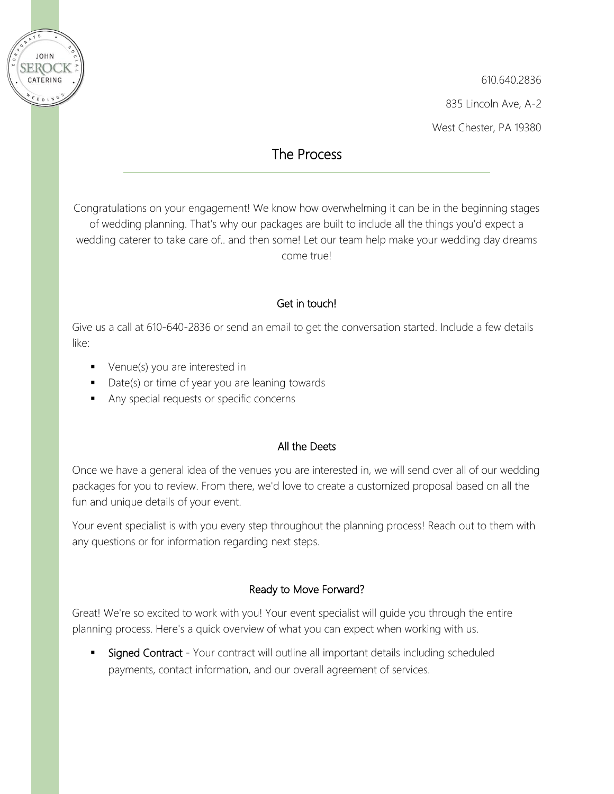

610.640.2836 835 Lincoln Ave, A-2 West Chester, PA 19380

## The Process

Congratulations on your engagement! We know how overwhelming it can be in the beginning stages of wedding planning. That's why our packages are built to include all the things you'd expect a wedding caterer to take care of.. and then some! Let our team help make your wedding day dreams come true!

## Get in touch!

Give us a call at 610-640-2836 or send an email to get the conversation started. Include a few details like:

- Venue(s) you are interested in
- Date(s) or time of year you are leaning towards
- Any special requests or specific concerns

## All the Deets

Once we have a general idea of the venues you are interested in, we will send over all of our wedding packages for you to review. From there, we'd love to create a customized proposal based on all the fun and unique details of your event.

Your event specialist is with you every step throughout the planning process! Reach out to them with any questions or for information regarding next steps.

## Ready to Move Forward?

Great! We're so excited to work with you! Your event specialist will guide you through the entire planning process. Here's a quick overview of what you can expect when working with us.

Signed Contract - Your contract will outline all important details including scheduled payments, contact information, and our overall agreement of services.